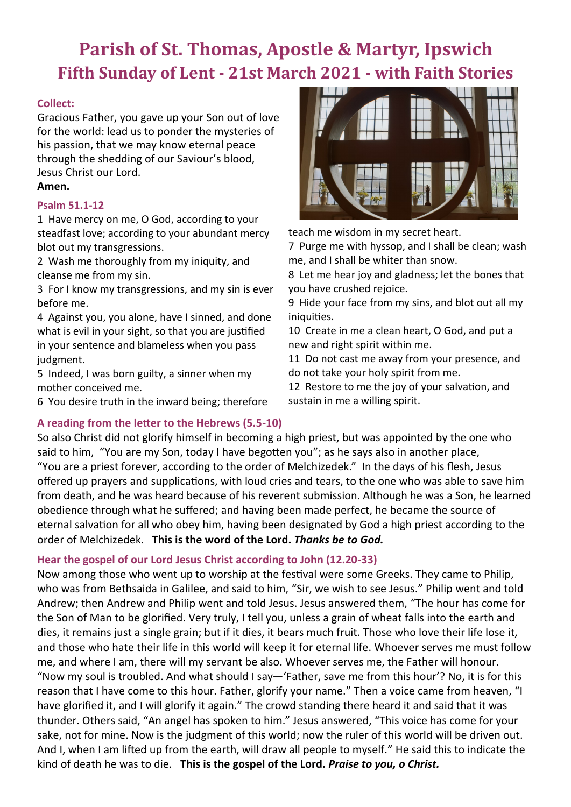# **Parish of St. Thomas, Apostle & Martyr, Ipswich Fifth Sunday of Lent - 21st March 2021 - with Faith Stories**

## **Collect:**

Gracious Father, you gave up your Son out of love for the world: lead us to ponder the mysteries of his passion, that we may know eternal peace through the shedding of our Saviour's blood, Jesus Christ our Lord.

## **Amen.**

## **Psalm 51.1-12**

1 Have mercy on me, O God, according to your steadfast love; according to your abundant mercy blot out my transgressions.

2 Wash me thoroughly from my iniquity, and cleanse me from my sin.

3 For I know my transgressions, and my sin is ever before me.

4 Against you, you alone, have I sinned, and done what is evil in your sight, so that you are justified in your sentence and blameless when you pass judgment.

5 Indeed, I was born guilty, a sinner when my mother conceived me.

6 You desire truth in the inward being; therefore

## **A reading from the letter to the Hebrews (5.5-10)**



teach me wisdom in my secret heart.

7 Purge me with hyssop, and I shall be clean; wash me, and I shall be whiter than snow.

8 Let me hear joy and gladness; let the bones that you have crushed rejoice.

9 Hide your face from my sins, and blot out all my iniquities.

10 Create in me a clean heart, O God, and put a new and right spirit within me.

11 Do not cast me away from your presence, and do not take your holy spirit from me.

12 Restore to me the joy of your salvation, and sustain in me a willing spirit.

So also Christ did not glorify himself in becoming a high priest, but was appointed by the one who said to him, "You are my Son, today I have begotten you"; as he says also in another place, "You are a priest forever, according to the order of Melchizedek." In the days of his flesh, Jesus offered up prayers and supplications, with loud cries and tears, to the one who was able to save him from death, and he was heard because of his reverent submission. Although he was a Son, he learned obedience through what he suffered; and having been made perfect, he became the source of eternal salvation for all who obey him, having been designated by God a high priest according to the order of Melchizedek. **This is the word of the Lord.** *Thanks be to God.*

# **Hear the gospel of our Lord Jesus Christ according to John (12.20-33)**

Now among those who went up to worship at the festival were some Greeks. They came to Philip, who was from Bethsaida in Galilee, and said to him, "Sir, we wish to see Jesus." Philip went and told Andrew; then Andrew and Philip went and told Jesus. Jesus answered them, "The hour has come for the Son of Man to be glorified. Very truly, I tell you, unless a grain of wheat falls into the earth and dies, it remains just a single grain; but if it dies, it bears much fruit. Those who love their life lose it, and those who hate their life in this world will keep it for eternal life. Whoever serves me must follow me, and where I am, there will my servant be also. Whoever serves me, the Father will honour. "Now my soul is troubled. And what should I say—'Father, save me from this hour'? No, it is for this reason that I have come to this hour. Father, glorify your name." Then a voice came from heaven, "I have glorified it, and I will glorify it again." The crowd standing there heard it and said that it was thunder. Others said, "An angel has spoken to him." Jesus answered, "This voice has come for your sake, not for mine. Now is the judgment of this world; now the ruler of this world will be driven out. And I, when I am lifted up from the earth, will draw all people to myself." He said this to indicate the kind of death he was to die. **This is the gospel of the Lord.** *Praise to you, o Christ.*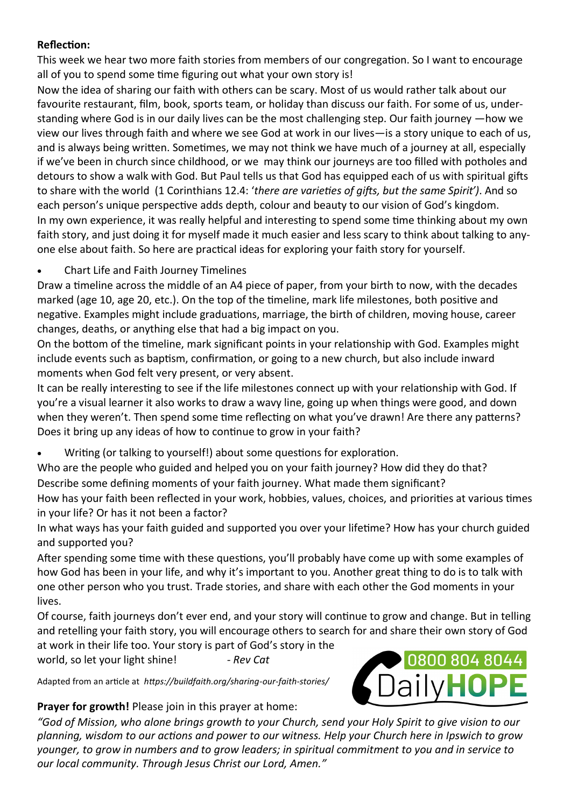# **Reflection:**

This week we hear two more faith stories from members of our congregation. So I want to encourage all of you to spend some time figuring out what your own story is!

Now the idea of sharing our faith with others can be scary. Most of us would rather talk about our favourite restaurant, film, book, sports team, or holiday than discuss our faith. For some of us, understanding where God is in our daily lives can be the most challenging step. Our faith journey —how we view our lives through faith and where we see God at work in our lives—is a story unique to each of us, and is always being written. Sometimes, we may not think we have much of a journey at all, especially if we've been in church since childhood, or we may think our journeys are too filled with potholes and detours to show a walk with God. But Paul tells us that God has equipped each of us with spiritual gifts to share with the world [\(1 Corinthians 12](http://bible.oremus.org/?ql=401011204).4: '*there are varieties of gifts, but the same Spirit')*. And so each person's unique perspective adds depth, colour and beauty to our vision of God's kingdom. In my own experience, it was really helpful and interesting to spend some time thinking about my own faith story, and just doing it for myself made it much easier and less scary to think about talking to anyone else about faith. So here are practical ideas for exploring your faith story for yourself.

• Chart Life and Faith Journey Timelines

Draw a timeline across the middle of an A4 piece of paper, from your birth to now, with the decades marked (age 10, age 20, etc.). On the top of the timeline, mark life milestones, both positive and negative. Examples might include graduations, marriage, the birth of children, moving house, career changes, deaths, or anything else that had a big impact on you.

On the bottom of the timeline, mark significant points in your relationship with God. Examples might include events such as baptism, confirmation, or going to a new church, but also include inward moments when God felt very present, or very absent.

It can be really interesting to see if the life milestones connect up with your relationship with God. If you're a visual learner it also works to draw a wavy line, going up when things were good, and down when they weren't. Then spend some time reflecting on what you've drawn! Are there any patterns? Does it bring up any ideas of how to continue to grow in your faith?

• Writing (or talking to yourself!) about some questions for exploration.

Who are the people who guided and helped you on your faith journey? How did they do that? Describe some defining moments of your faith journey. What made them significant?

How has your faith been reflected in your work, hobbies, values, choices, and priorities at various times in your life? Or has it not been a factor?

In what ways has your faith guided and supported you over your lifetime? How has your church guided and supported you?

After spending some time with these questions, you'll probably have come up with some examples of how God has been in your life, and why it's important to you. Another great thing to do is to talk with one other person who you trust. Trade stories, and share with each other the God moments in your lives.

Of course, faith journeys don't ever end, and your story will continue to grow and change. But in telling and retelling your faith story, you will encourage others to search for and share their own story of God

at work in their life too. Your story is part of God's story in the world, so let your light shine! *- Rev Cat*

Adapted from an article at *https://buildfaith.org/sharing-our-faith-stories/*

# **Prayer for growth!** Please join in this prayer at home:

*"God of Mission, who alone brings growth to your Church, send your Holy Spirit to give vision to our planning, wisdom to our actions and power to our witness. Help your Church here in Ipswich to grow younger, to grow in numbers and to grow leaders; in spiritual commitment to you and in service to our local community. Through Jesus Christ our Lord, Amen."*

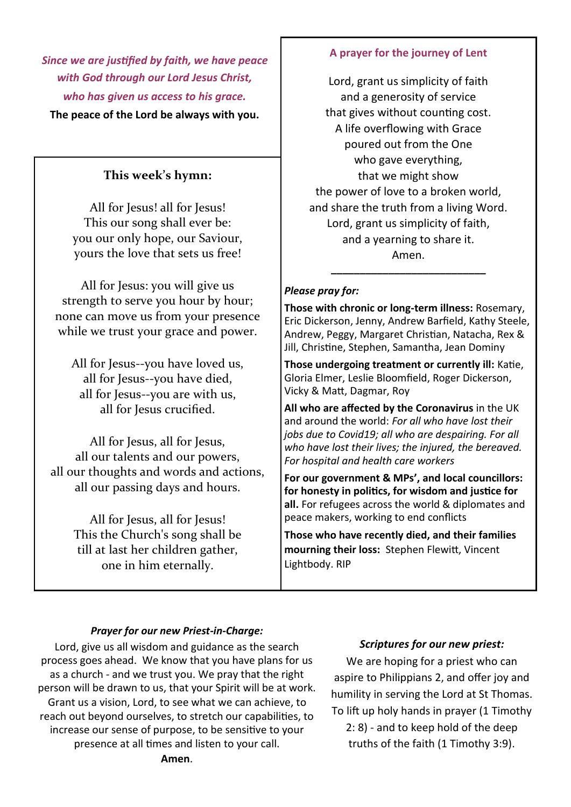*Since we are justified by faith, we have peace with God through our Lord Jesus Christ, who has given us access to his grace.*  **The peace of the Lord be always with you.**

# **This week's hymn:**

All for Jesus! all for Jesus! This our song shall ever be: you our only hope, our Saviour, yours the love that sets us free!

All for Jesus: you will give us strength to serve you hour by hour; none can move us from your presence while we trust your grace and power.

All for Jesus--you have loved us, all for Jesus--you have died, all for Jesus--you are with us, all for Jesus crucified.

All for Jesus, all for Jesus, all our talents and our powers, all our thoughts and words and actions, all our passing days and hours.

> All for Jesus, all for Jesus! This the Church's song shall be till at last her children gather, one in him eternally.

#### **A prayer for the journey of Lent**

Lord, grant us simplicity of faith and a generosity of service that gives without counting cost. A life overflowing with Grace poured out from the One who gave everything, that we might show the power of love to a broken world, and share the truth from a living Word. Lord, grant us simplicity of faith, and a yearning to share it. Amen.

#### *Please pray for:*

**Those with chronic or long-term illness:** Rosemary, Eric Dickerson, Jenny, Andrew Barfield, Kathy Steele, Andrew, Peggy, Margaret Christian, Natacha, Rex & Jill, Christine, Stephen, Samantha, Jean Dominy

**\_\_\_\_\_\_\_\_\_\_\_\_\_\_\_\_\_\_\_\_\_\_\_\_\_\_\_**

**Those undergoing treatment or currently ill:** Katie, Gloria Elmer, Leslie Bloomfield, Roger Dickerson, Vicky & Matt, Dagmar, Roy

**All who are affected by the Coronavirus** in the UK and around the world: *For all who have lost their jobs due to Covid19; all who are despairing. For all who have lost their lives; the injured, the bereaved. For hospital and health care workers*

**For our government & MPs', and local councillors: for honesty in politics, for wisdom and justice for all.** For refugees across the world & diplomates and peace makers, working to end conflicts

**Those who have recently died, and their families mourning their loss:** Stephen Flewitt, Vincent Lightbody. RIP

#### *Prayer for our new Priest-in-Charge:*

Lord, give us all wisdom and guidance as the search process goes ahead. We know that you have plans for us as a church - and we trust you. We pray that the right person will be drawn to us, that your Spirit will be at work. Grant us a vision, Lord, to see what we can achieve, to reach out beyond ourselves, to stretch our capabilities, to increase our sense of purpose, to be sensitive to your presence at all times and listen to your call.

# aspire to Philippians 2, and offer joy and

humility in serving the Lord at St Thomas. To lift up holy hands in prayer (1 Timothy 2: 8) - and to keep hold of the deep truths of the faith (1 Timothy 3:9).

*Scriptures for our new priest:*  We are hoping for a priest who can